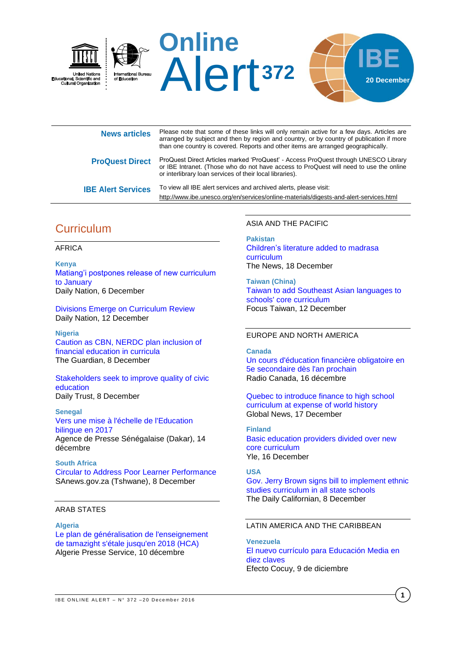

| <b>News articles</b>      | Please note that some of these links will only remain active for a few days. Articles are<br>arranged by subject and then by region and country, or by country of publication if more<br>than one country is covered. Reports and other items are arranged geographically. |
|---------------------------|----------------------------------------------------------------------------------------------------------------------------------------------------------------------------------------------------------------------------------------------------------------------------|
| <b>ProQuest Direct</b>    | ProQuest Direct Articles marked 'ProQuest' - Access ProQuest through UNESCO Library<br>or IBE Intranet. (Those who do not have access to ProQuest will need to use the online<br>or interlibrary loan services of their local libraries).                                  |
| <b>IBE Alert Services</b> | To view all IBE alert services and archived alerts, please visit:<br>http://www.ibe.unesco.org/en/services/online-materials/digests-and-alert-services.html                                                                                                                |

# **Curriculum**

### AFRICA

**Kenya** [Matiang'i postpones release of new curriculum](http://www.nation.co.ke/news/education/Matiangi-postpones-release-of-new-curriculum-to-January/2643604-3477558-q1k48jz/)  [to January](http://www.nation.co.ke/news/education/Matiangi-postpones-release-of-new-curriculum-to-January/2643604-3477558-q1k48jz/) Daily Nation, 6 December

[Divisions Emerge on Curriculum Review](http://allafrica.com/stories/201612120205.html) Daily Nation, 12 December

**Nigeria** [Caution as CBN, NERDC plan inclusion of](http://guardian.ng/features/education/caution-as-cbn-nerdc-plan-inclusion-of-financial-education-in-curricula/)  [financial education in curricula](http://guardian.ng/features/education/caution-as-cbn-nerdc-plan-inclusion-of-financial-education-in-curricula/) The Guardian, 8 December

[Stakeholders seek to improve quality of civic](http://www.dailytrust.com.ng/news/education/stakeholders-seek-to-improve-quality-of-civic-education/175004.html)  [education](http://www.dailytrust.com.ng/news/education/stakeholders-seek-to-improve-quality-of-civic-education/175004.html) Daily Trust, 8 December

#### **Senegal**

[Vers une mise à l'échelle de l'Education](http://fr.allafrica.com/stories/201612150333.html)  [bilingue en 2017](http://fr.allafrica.com/stories/201612150333.html) Agence de Presse Sénégalaise (Dakar), 14 décembre

**South Africa** [Circular to Address Poor Learner Performance](http://allafrica.com/stories/201612080656.html) SAnews.gov.za (Tshwane), 8 December

# ARAB STATES

### **Algeria**

[Le plan de généralisation de](http://fr.allafrica.com/stories/201612110142.html) l'enseignement [de tamazight s'étale jusqu'en 2018 \(HCA\)](http://fr.allafrica.com/stories/201612110142.html) Algerie Presse Service, 10 décembre

### ASIA AND THE PACIFIC

**Pakistan** [Children's literature added to madrasa](https://www.thenews.com.pk/print/172607-Childrens-literature-added-to-madrasa-curriculum)  [curriculum](https://www.thenews.com.pk/print/172607-Childrens-literature-added-to-madrasa-curriculum) The News, 18 December

**Taiwan (China)** [Taiwan to add Southeast Asian languages to](http://focustaiwan.tw/news/aedu/201612110004.aspx)  [schools' core curriculum](http://focustaiwan.tw/news/aedu/201612110004.aspx) Focus Taiwan, 12 December

## EUROPE AND NORTH AMERICA

#### **Canada**

[Un cours d'éducation financière obligatoire en](http://ici.radio-canada.ca/nouvelle/1006333/cours-education-financiere-obligatoire-5e-secondaire-rentree-2017)  [5e secondaire dès l'an](http://ici.radio-canada.ca/nouvelle/1006333/cours-education-financiere-obligatoire-5e-secondaire-rentree-2017) prochain Radio Canada, 16 décembre

[Quebec to introduce finance to high school](http://globalnews.ca/news/3133429/quebec-to-introduce-finance-to-high-school-curriculum-at-expense-of-world-history/)  [curriculum at expense of world history](http://globalnews.ca/news/3133429/quebec-to-introduce-finance-to-high-school-curriculum-at-expense-of-world-history/) Global News, 17 December

#### **Finland**

[Basic education providers divided over new](http://yle.fi/uutiset/osasto/news/basic_education_providers_divided_over_new_core_curriculum/9357019)  [core curriculum](http://yle.fi/uutiset/osasto/news/basic_education_providers_divided_over_new_core_curriculum/9357019) Yle, 16 December

## **USA**

[Gov. Jerry Brown signs bill to implement ethnic](http://www.dailycal.org/2016/12/08/gov-jerry-brown-signs-bill-implement-ethnic-studies-curriculum-state-schools/)  [studies curriculum in all state schools](http://www.dailycal.org/2016/12/08/gov-jerry-brown-signs-bill-implement-ethnic-studies-curriculum-state-schools/) The Daily Californian, 8 December

# LATIN AMERICA AND THE CARIBBEAN

**Venezuela** [El nuevo currículo para Educación Media en](http://efectococuyo.com/principales/el-nuevo-curriculo-para-educacion-media-en-diez-claves)  [diez claves](http://efectococuyo.com/principales/el-nuevo-curriculo-para-educacion-media-en-diez-claves) Efecto Cocuy, 9 de diciembre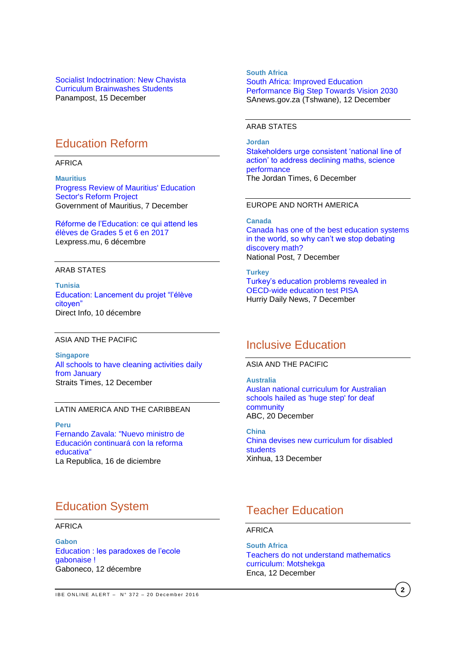[Socialist Indoctrination: New Chavista](https://panampost.com/sabrina-martin/2016/12/15/socialist-indoctrination-new-chavista-curriculum-brainwashes-students/)  [Curriculum Brainwashes Students](https://panampost.com/sabrina-martin/2016/12/15/socialist-indoctrination-new-chavista-curriculum-brainwashes-students/) Panampost, 15 December

# Education Reform

AFRICA

**Mauritius** [Progress Review of Mauritius' Education](http://allafrica.com/stories/201612070701.html)  [Sector's Reform Project](http://allafrica.com/stories/201612070701.html) Government of Mauritius, 7 December

[Réforme de l'Education: ce qui attend les](http://www.lexpress.mu/article/295186/reforme-leducation-ce-qui-attend-eleves-grades-5-et-6-en-2017)  [élèves de Grades 5 et 6 en 2017](http://www.lexpress.mu/article/295186/reforme-leducation-ce-qui-attend-eleves-grades-5-et-6-en-2017) Lexpress.mu, 6 décembre

### ARAB STATES

**Tunisia** [Education: Lancement du projet "l'élève](http://directinfo.webmanagercenter.com/2016/12/10/tunisie-education-lancement-du-projet-leleve-citoyen/)  [citoyen"](http://directinfo.webmanagercenter.com/2016/12/10/tunisie-education-lancement-du-projet-leleve-citoyen/) Direct Info, 10 décembre

#### ASIA AND THE PACIFIC

**Singapore** [All schools to have cleaning activities daily](http://www.straitstimes.com/singapore/education/all-schools-to-have-cleaning-activities-daily-from-january)  [from January](http://www.straitstimes.com/singapore/education/all-schools-to-have-cleaning-activities-daily-from-january) Straits Times, 12 December

#### LATIN AMERICA AND THE CARIBBEAN

**Peru**  [Fernando Zavala: "Nuevo ministro de](http://larepublica.pe/politica/831120-fernando-zavala-nuevo-ministro-de-educacion-continuara-con-la-reforma-educativa)  [Educación continuará con la reforma](http://larepublica.pe/politica/831120-fernando-zavala-nuevo-ministro-de-educacion-continuara-con-la-reforma-educativa)  [educativa"](http://larepublica.pe/politica/831120-fernando-zavala-nuevo-ministro-de-educacion-continuara-con-la-reforma-educativa) La Republica, 16 de diciembre

# Education System

# AFRICA

**Gabon** Education [: les paradoxes de l'ecole](http://www.gaboneco.com/education-les-paradoxes-de-l-ecole-gabonaise.html)  [gabonaise](http://www.gaboneco.com/education-les-paradoxes-de-l-ecole-gabonaise.html) ! Gaboneco, 12 décembre

**South Africa** [South Africa: Improved Education](http://allafrica.com/stories/201612130424.html)  [Performance Big Step Towards Vision 2030](http://allafrica.com/stories/201612130424.html) SAnews.gov.za (Tshwane), 12 December

## ARAB STATES

**Jordan** [Stakeholders urge consistent 'national line of](http://www.jordantimes.com/news/local/stakeholders-urge-consistent-national-line-action’-address-declining-maths-science)  [action' to address declining maths, science](http://www.jordantimes.com/news/local/stakeholders-urge-consistent-national-line-action’-address-declining-maths-science)  [performance](http://www.jordantimes.com/news/local/stakeholders-urge-consistent-national-line-action’-address-declining-maths-science) The Jordan Times, 6 December

## EUROPE AND NORTH AMERICA

#### **Canada**

[Canada has one of the best education systems](http://news.nationalpost.com/news/canada/canada-has-one-of-the-best-education-systems-in-the-world-so-why-cant-we-stop-debating-discovery-math)  [in the world, so why can't we stop debating](http://news.nationalpost.com/news/canada/canada-has-one-of-the-best-education-systems-in-the-world-so-why-cant-we-stop-debating-discovery-math)  [discovery](http://news.nationalpost.com/news/canada/canada-has-one-of-the-best-education-systems-in-the-world-so-why-cant-we-stop-debating-discovery-math) math? National Post, 7 December

#### **Turkey**

[Turkey's education problems revealed in](http://www.hurriyetdailynews.com/turkey-plummets-on-oecd-wide-education-test-pisa.aspx?pageID=238&nID=106997&NewsCatID=341)  [OECD-wide education test PISA](http://www.hurriyetdailynews.com/turkey-plummets-on-oecd-wide-education-test-pisa.aspx?pageID=238&nID=106997&NewsCatID=341) Hurriy Daily News, 7 December

# Inclusive Education

ASIA AND THE PACIFIC

**Australia** Auslan [national curriculum for Australian](http://www.abc.net.au/news/2016-12-19/deaf-community-hails-school-rollout-of-auslan-curriculum/8132474)  [schools hailed as 'huge step' for deaf](http://www.abc.net.au/news/2016-12-19/deaf-community-hails-school-rollout-of-auslan-curriculum/8132474)  [community](http://www.abc.net.au/news/2016-12-19/deaf-community-hails-school-rollout-of-auslan-curriculum/8132474) ABC, 20 December

**China** [China devises new curriculum for disabled](http://news.xinhuanet.com/english/2016-12/13/c_135902785.htm)  [students](http://news.xinhuanet.com/english/2016-12/13/c_135902785.htm) Xinhua, 13 December

# Teacher Education

AFRICA

**South Africa** [Teachers do not understand mathematics](https://www.enca.com/south-africa/teachers-do-not-understand-mathematics-curriculum-motshekga)  [curriculum: Motshekga](https://www.enca.com/south-africa/teachers-do-not-understand-mathematics-curriculum-motshekga) Enca, 12 December

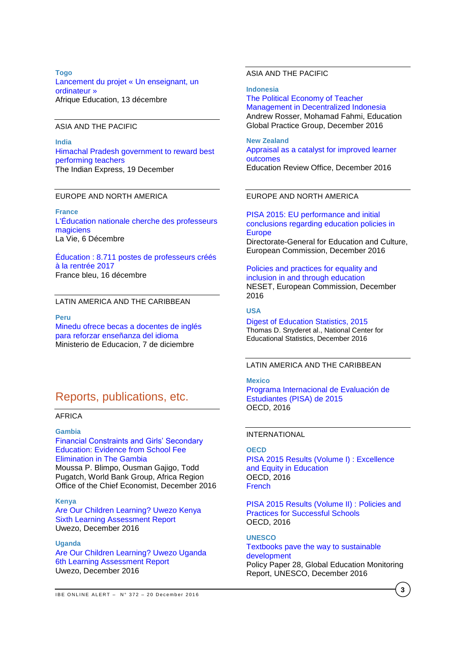### **Togo** [Lancement du projet «](http://afriqueeducation.com/education/togo_lancement_du_projet_un_enseignant_un_ordinateur) Un enseignant, un [ordinateur](http://afriqueeducation.com/education/togo_lancement_du_projet_un_enseignant_un_ordinateur) » Afrique Education, 13 décembre

# ASIA AND THE PACIFIC

**India** [Himachal Pradesh government to reward best](http://indianexpress.com/article/education/himachal-pradesh-government-to-reward-best-performing-teachers/)  [performing](http://indianexpress.com/article/education/himachal-pradesh-government-to-reward-best-performing-teachers/) teachers The Indian Express, 19 December

## EUROPE AND NORTH AMERICA

**France** [L'Éducation nationale cherche des professeurs](http://www.lavie.fr/actualite/societe/l-education-nationale-cherche-des-professeurs-magiciens-06-12-2016-78310_7.php)  [magiciens](http://www.lavie.fr/actualite/societe/l-education-nationale-cherche-des-professeurs-magiciens-06-12-2016-78310_7.php) La Vie, 6 Décembre

[Éducation : 8.711 postes de professeurs créés](https://www.francebleu.fr/infos/education/education-8-711-postes-de-professeurs-crees-la-rentree-2017-1481877768)  [à la rentrée 2017](https://www.francebleu.fr/infos/education/education-8-711-postes-de-professeurs-crees-la-rentree-2017-1481877768) France bleu, 16 décembre

#### LATIN AMERICA AND THE CARIBBEAN

**Peru**

[Minedu ofrece becas a docentes de inglés](http://www.minedu.gob.pe/n/noticia.php?id=41027)  [para reforzar enseñanza del idioma](http://www.minedu.gob.pe/n/noticia.php?id=41027) Ministerio de Educacion, 7 de diciembre

# Reports, publications, etc.

## AFRICA

### **Gambia**

[Financial Constraints and Girls' Secondary](http://documents.worldbank.org/curated/en/131321481039247615/pdf/WPS7908.pdf)  [Education: Evidence from School Fee](http://documents.worldbank.org/curated/en/131321481039247615/pdf/WPS7908.pdf)  [Elimination in The Gambia](http://documents.worldbank.org/curated/en/131321481039247615/pdf/WPS7908.pdf) Moussa P. Blimpo, Ousman Gajigo, Todd Pugatch, World Bank Group, Africa Region Office of the Chief Economist, December 2016

#### **Kenya**

[Are Our Children Learning? Uwezo Kenya](http://www.uwezo.net/wp-content/uploads/2016/12/UwezoKenya2015ALAReport-FINAL-EN-web.pdf)  [Sixth Learning Assessment Report](http://www.uwezo.net/wp-content/uploads/2016/12/UwezoKenya2015ALAReport-FINAL-EN-web.pdf) Uwezo, December 2016

## **Uganda**

[Are Our Children Learning? Uwezo Uganda](http://www.uwezo.net/wp-content/uploads/2016/12/UwezoUganda2015ALAReport-FINAL-EN-web.pdf)  [6th Learning Assessment Report](http://www.uwezo.net/wp-content/uploads/2016/12/UwezoUganda2015ALAReport-FINAL-EN-web.pdf)  Uwezo, December 2016

#### **Indonesia**

[The Political Economy of Teacher](http://documents.worldbank.org/curated/en/974411481637452183/pdf/WPS7913.pdf)  [Management in Decentralized Indonesia](http://documents.worldbank.org/curated/en/974411481637452183/pdf/WPS7913.pdf) Andrew Rosser, Mohamad Fahmi, Education Global Practice Group, December 2016

**New Zealand** [Appraisal as a catalyst for improved learner](http://www.ero.govt.nz/assets/Uploads/Appraisal-as-a-Catalyst-for-New-Learner-Outcomes.pdf)  [outcomes](http://www.ero.govt.nz/assets/Uploads/Appraisal-as-a-Catalyst-for-New-Learner-Outcomes.pdf) Education Review Office, December 2016

## EUROPE AND NORTH AMERICA

[PISA 2015: EU performance and initial](https://ec.europa.eu/education/sites/education/files/pisa-2015-eu-policy-note_en.pdf)  [conclusions regarding education policies in](https://ec.europa.eu/education/sites/education/files/pisa-2015-eu-policy-note_en.pdf)  **[Europe](https://ec.europa.eu/education/sites/education/files/pisa-2015-eu-policy-note_en.pdf)** Directorate-General for Education and Culture, European Commission, December 2016

[Policies and practices for equality and](https://bookshop.europa.eu/en/policies-and-practices-for-equality-and-inclusion-in-and-through-education-pbNC0415452/)  [inclusion in and through education](https://bookshop.europa.eu/en/policies-and-practices-for-equality-and-inclusion-in-and-through-education-pbNC0415452/) NESET, European Commission, December 2016

### **USA**

[Digest of Education Statistics, 2015](http://nces.ed.gov/pubs2016/2016014.pdf) Thomas D. Snyderet al., National Center for Educational Statistics, December 2016

## LATIN AMERICA AND THE CARIBBEAN

#### **Mexico**

[Programa Internacional de Evaluación de](http://www.oecd.org/pisa/PISA-2015-Mexico-ESP.pdf)  [Estudiantes \(PISA\) de 2015](http://www.oecd.org/pisa/PISA-2015-Mexico-ESP.pdf) OECD, 2016

#### INTERNATIONAL

## **OECD**

[PISA 2015 Results \(Volume I\) :](http://www.oecd-ilibrary.org/docserver/download/9816061e.pdf?expires=1482162893&id=id&accname=guest&checksum=F3B63F48BC4D5BCD2C7820B45F3C2B02) Excellence [and Equity in Education](http://www.oecd-ilibrary.org/docserver/download/9816061e.pdf?expires=1482162893&id=id&accname=guest&checksum=F3B63F48BC4D5BCD2C7820B45F3C2B02) OECD, 2016 [French](http://www.oecd-ilibrary.org/docserver/download/9816062e.pdf?expires=1482162920&id=id&accname=guest&checksum=10CB859D50A085DAA9B18420B49A727F)

[PISA 2015 Results \(Volume II\) :](http://www.oecd-ilibrary.org/docserver/download/9816071e.pdf?expires=1482162837&id=id&accname=guest&checksum=BAE051964629DD6C8B3635A9856220A9) Policies and [Practices for Successful Schools](http://www.oecd-ilibrary.org/docserver/download/9816071e.pdf?expires=1482162837&id=id&accname=guest&checksum=BAE051964629DD6C8B3635A9856220A9) OECD, 2016

### **UNESCO** [Textbooks pave the way to sustainable](http://unesdoc.unesco.org/images/0024/002467/246777E.pdf)  [development](http://unesdoc.unesco.org/images/0024/002467/246777E.pdf) Policy Paper 28, Global Education Monitoring Report, UNESCO, December 2016